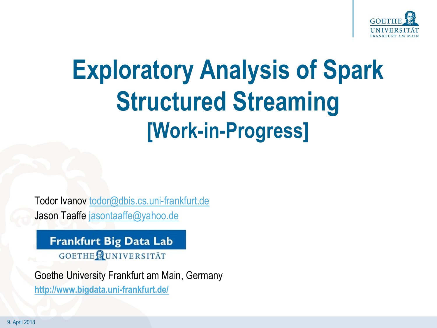

## **Exploratory Analysis of Spark Structured Streaming [Work-in-Progress]**

Todor Ivanov todor@dbis.cs.uni-frankfurt.de Jason Taaffe [jasontaaffe@yahoo.de](mailto:jasontaaffe@yahoo.de)

**Frankfurt Big Data Lab** GOETHE CUNIVERSITÄT

Goethe University Frankfurt am Main, Germany **<http://www.bigdata.uni-frankfurt.de/>**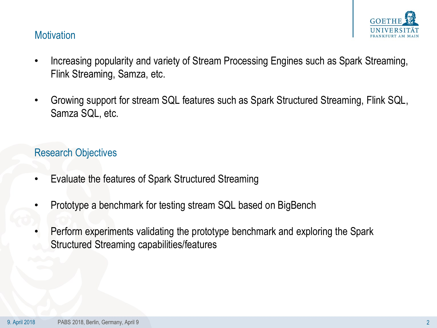

#### **Motivation**

- Increasing popularity and variety of Stream Processing Engines such as Spark Streaming, Flink Streaming, Samza, etc.
- Growing support for stream SQL features such as Spark Structured Streaming, Flink SQL, Samza SQL, etc.

#### Research Objectives

- Evaluate the features of Spark Structured Streaming
- Prototype a benchmark for testing stream SQL based on BigBench
- Perform experiments validating the prototype benchmark and exploring the Spark Structured Streaming capabilities/features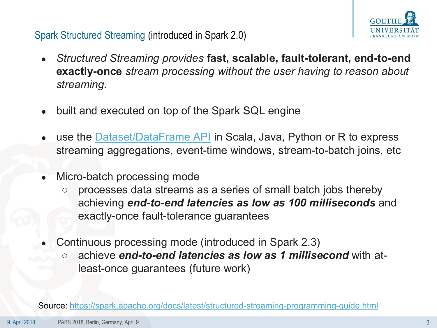

## Spark Structured Streaming (introduced in Spark 2.0)

- *Structured Streaming provides* **fast, scalable, fault-tolerant, end-to-end exactly-once** *stream processing without the user having to reason about streaming.*
- built and executed on top of the Spark SQL engine
- use the **[Dataset/DataFrame API](https://spark.apache.org/docs/latest/sql-programming-guide.html)** in Scala, Java, Python or R to express streaming aggregations, event-time windows, stream-to-batch joins, etc
- Micro-batch processing mode
	- processes data streams as a series of small batch jobs thereby achieving *end-to-end latencies as low as 100 milliseconds* and exactly-once fault-tolerance guarantees
- Continuous processing mode (introduced in Spark 2.3)
	- achieve **end-to-end latencies as low as 1 millisecond** with atleast-once guarantees (future work)

Source:<https://spark.apache.org/docs/latest/structured-streaming-programming-guide.html>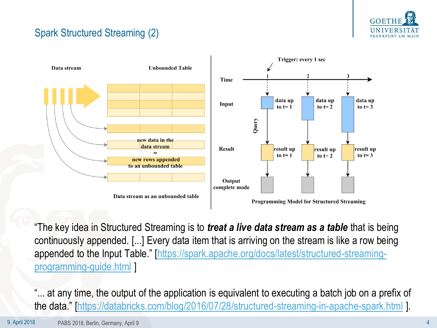

## Spark Structured Streaming (2)



"The key idea in Structured Streaming is to *treat a live data stream as a table* that is being continuously appended. [...] Every data item that is arriving on the stream is like a row being appended to the Input Table." [[https://spark.apache.org/docs/latest/structured-streaming](https://spark.apache.org/docs/latest/structured-streaming-programming-guide.html)programming-guide.html ]

"... at any time, the output of the application is equivalent to executing a batch job on a prefix of the data." [<https://databricks.com/blog/2016/07/28/structured-streaming-in-apache-spark.html> ].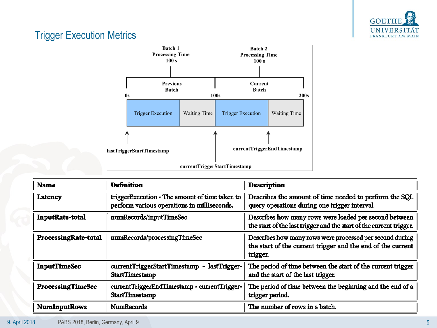

## Trigger Execution Metrics



| <b>Name</b>              | <b>Definition</b>                                                                             | <b>Description</b>                                                                                                                  |
|--------------------------|-----------------------------------------------------------------------------------------------|-------------------------------------------------------------------------------------------------------------------------------------|
| <b>Latency</b>           | triggerExecution - The amount of time taken to<br>perform various operations in milliseconds. | Describes the amount of time needed to perform the SQL<br>query operations during one trigger interval.                             |
| <b>InputRate-total</b>   | numRecords/inputTimeSec                                                                       | Describes how many rows were loaded per second between<br>the start of the last trigger and the start of the current trigger.       |
| ProcessingRate-total     | numRecords/processingTimeSec                                                                  | Describes how many rows were processed per second during<br>the start of the current trigger and the end of the current<br>trigger. |
| <b>InputTimeSec</b>      | currentTriggerStartTimestamp -<br>lastTrigger-<br>StartTimestamp                              | The period of time between the start of the current trigger<br>and the start of the last trigger.                                   |
| <b>ProcessingTimeSec</b> | currentTriggerEndTimestamp - currentTrigger-<br><b>StartTimestamp</b>                         | The period of time between the beginning and the end of a<br>trigger period.                                                        |
| <b>NumInputRows</b>      | <b>NumRecords</b>                                                                             | The number of rows in a batch.                                                                                                      |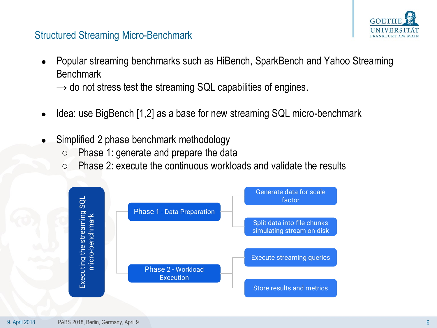

#### Structured Streaming Micro-Benchmark

- Popular streaming benchmarks such as HiBench, SparkBench and Yahoo Streaming **Benchmark** 
	- $\rightarrow$  do not stress test the streaming SQL capabilities of engines.
- Idea: use BigBench [1,2] as a base for new streaming SQL micro-benchmark
- Simplified 2 phase benchmark methodology
	- Phase 1: generate and prepare the data
	- $\circ$  Phase 2: execute the continuous workloads and validate the results

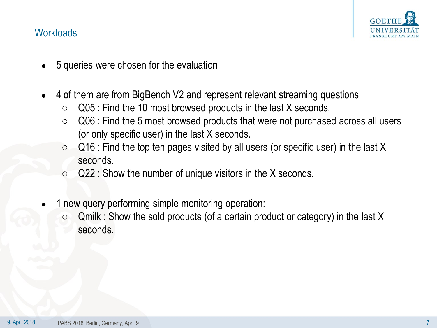

#### **Workloads**

- 5 queries were chosen for the evaluation
- 4 of them are from BigBench V2 and represent relevant streaming questions
	- $\circ$  Q05 : Find the 10 most browsed products in the last X seconds.
	- Q06 : Find the 5 most browsed products that were not purchased across all users (or only specific user) in the last X seconds.
	- $\circ$  Q16 : Find the top ten pages visited by all users (or specific user) in the last X seconds.
	- $\circ$  Q22 : Show the number of unique visitors in the X seconds.
- 1 new query performing simple monitoring operation:
	- $\circ$  Qmilk : Show the sold products (of a certain product or category) in the last X seconds.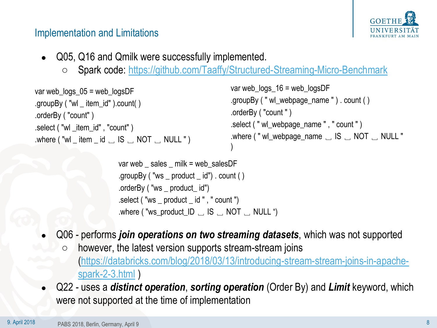

#### Implementation and Limitations

- Q05, Q16 and Qmilk were successfully implemented.
	- Spark code: <https://github.com/Taaffy/Structured-Streaming-Micro-Benchmark>

```
var web \log s 05 = web \log sDF
.groupBy ( "wl _ item_id" ).count( )
.orderBy ( "count" )
.select ( "wl _item_id" , "count" )
.where ("wl _ item _ id \Box IS \Box NOT \Box NULL")
                                                               var web_logs_16 = web_logsDF
                                                               .groupBy ( " wl_webpage_name " ) . count ( )
                                                               .orderBy ( "count " )
                                                               .select ( " wl_webpage_name " , " count " )
                                                               .where ( " wl_webpage_name ␣ IS ␣ NOT ␣ NULL " 
                                                                )
```

```
var web \; sales \; milk = web salesDF
.groupBy ("ws _ product _id") . count ()
.orderBy ( "ws _ product_ id")
.select ( "ws _ product _ id " , " count ")
.where ("ws_product_ID \_\ IS \_\ NOT \_\ NULL ")
```
- Q06 performs *join operations on two streaming datasets*, which was not supported
	- however, the latest version supports stream-stream joins [\(https://databricks.com/blog/2018/03/13/introducing-stream-stream-joins-in-apache](https://databricks.com/blog/2018/03/13/introducing-stream-stream-joins-in-apache-spark-2-3.html)spark-2-3.html )
- Q22 uses a *distinct operation*, *sorting operation* (Order By) and *Limit* keyword, which were not supported at the time of implementation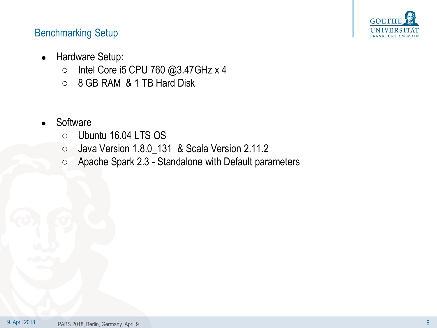

## Benchmarking Setup

- Hardware Setup:
	- Intel Core i5 CPU 760 @3.47GHz x 4
	- 8 GB RAM & 1 TB Hard Disk
- **Software** 
	- Ubuntu 16.04 LTS OS
	- Java Version 1.8.0\_131 & Scala Version 2.11.2
	- Apache Spark 2.3 Standalone with Default parameters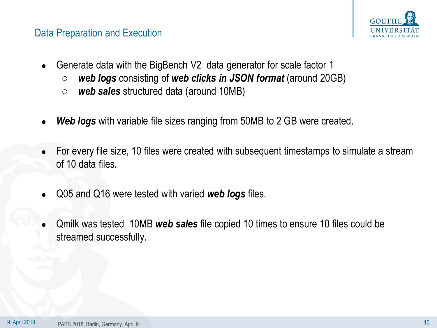#### Data Preparation and Execution



- Generate data with the BigBench V2 data generator for scale factor 1
	- *web logs* consisting of *web clicks in JSON format* (around 20GB)
	- *web sales* structured data (around 10MB)
- **Web logs** with variable file sizes ranging from 50MB to 2 GB were created.
- For every file size, 10 files were created with subsequent timestamps to simulate a stream of 10 data files.
- Q05 and Q16 were tested with varied *web logs* files.
- Qmilk was tested 10MB *web sales* file copied 10 times to ensure 10 files could be streamed successfully.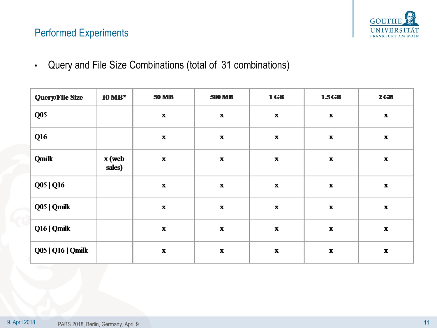

## Performed Experiments

• Query and File Size Combinations (total of 31 combinations)

| <b>Query/File Size</b> | $10 \text{ MB}^*$ | <b>50 MB</b>              | <b>500 MB</b>             | $1$ GB                    | 1.5 <sub>GB</sub>         | $2$ GB                    |
|------------------------|-------------------|---------------------------|---------------------------|---------------------------|---------------------------|---------------------------|
| Q05                    |                   | $\boldsymbol{\mathrm{X}}$ | $\boldsymbol{\mathrm{X}}$ | $\boldsymbol{\mathrm{X}}$ | $\boldsymbol{\mathrm{X}}$ | $\pmb{\mathbf{X}}$        |
| Q <sub>16</sub>        |                   | $\boldsymbol{\mathrm{X}}$ | $\boldsymbol{\mathrm{X}}$ | $\boldsymbol{\mathrm{X}}$ | $\boldsymbol{\mathrm{X}}$ | $\boldsymbol{\mathrm{X}}$ |
| <b>Qmilk</b>           | x (web<br>sales)  | $\boldsymbol{\mathrm{X}}$ | $\boldsymbol{\mathrm{X}}$ | $\boldsymbol{\mathrm{X}}$ | $\boldsymbol{\mathrm{X}}$ | $\boldsymbol{\mathrm{X}}$ |
| Q05   Q16              |                   | $\boldsymbol{\mathrm{X}}$ | $\boldsymbol{\mathrm{X}}$ | $\boldsymbol{\mathrm{X}}$ | $\boldsymbol{\mathrm{X}}$ | $\boldsymbol{\mathrm{x}}$ |
| Q05   Qmilk            |                   | $\boldsymbol{\mathrm{X}}$ | $\boldsymbol{\mathrm{X}}$ | $\boldsymbol{\mathrm{X}}$ | $\boldsymbol{\mathrm{X}}$ | $\pmb{\mathbf{X}}$        |
| Q16   Qmilk            |                   | $\boldsymbol{\mathrm{X}}$ | $\boldsymbol{\mathrm{X}}$ | $\boldsymbol{\mathrm{X}}$ | $\boldsymbol{\mathrm{X}}$ | $\boldsymbol{\mathrm{X}}$ |
| Q05   Q16   Qmilk      |                   | $\boldsymbol{\mathrm{X}}$ | $\boldsymbol{\mathrm{X}}$ | $\boldsymbol{\mathrm{X}}$ | $\boldsymbol{\mathrm{X}}$ | $\boldsymbol{\mathrm{X}}$ |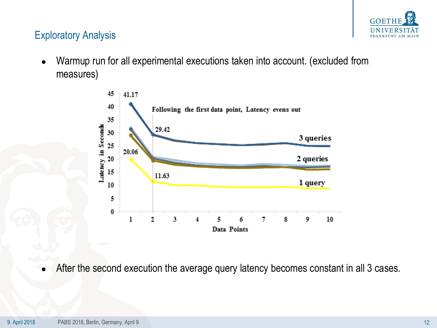

## Exploratory Analysis

● Warmup run for all experimental executions taken into account. (excluded from measures)



After the second execution the average query latency becomes constant in all 3 cases.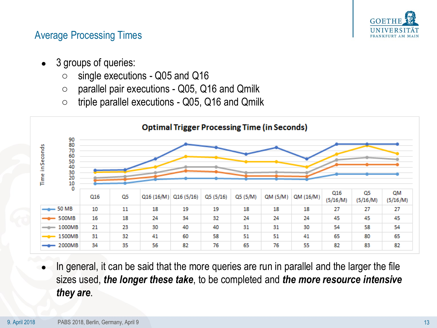

## Average Processing Times

- 3 groups of queries:
	- single executions Q05 and Q16
	- $\circ$  parallel pair executions Q05, Q16 and Qmilk
	- $\circ$  triple parallel executions Q05, Q16 and Qmilk



In general, it can be said that the more queries are run in parallel and the larger the file sizes used, *the longer these take*, to be completed and *the more resource intensive they are*.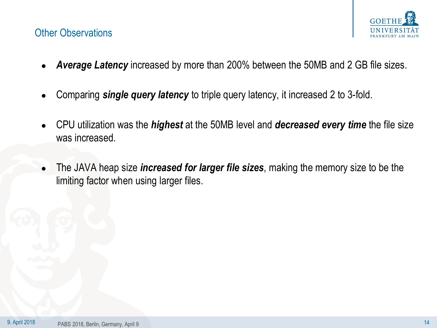# GOE<sup>'</sup>

### Other Observations

- Average Latency increased by more than 200% between the 50MB and 2 GB file sizes.
- Comparing **single query latency** to triple query latency, it increased 2 to 3-fold.
- CPU utilization was the *highest* at the 50MB level and *decreased every time* the file size was increased.
- The JAVA heap size *increased for larger file sizes*, making the memory size to be the limiting factor when using larger files.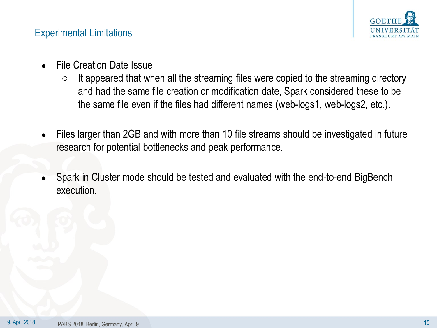

### Experimental Limitations

- **File Creation Date Issue** 
	- $\circ$  It appeared that when all the streaming files were copied to the streaming directory and had the same file creation or modification date, Spark considered these to be the same file even if the files had different names (web-logs1, web-logs2, etc.).
- Files larger than 2GB and with more than 10 file streams should be investigated in future research for potential bottlenecks and peak performance.
- Spark in Cluster mode should be tested and evaluated with the end-to-end BigBench execution.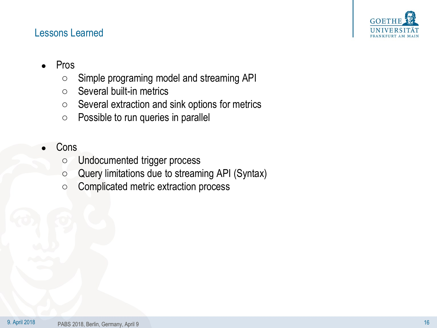

#### Lessons Learned

- **Pros** 
	- Simple programing model and streaming API
	- Several built-in metrics
	- Several extraction and sink options for metrics
	- Possible to run queries in parallel
- **Cons** 
	- Undocumented trigger process
	- Query limitations due to streaming API (Syntax)
	- Complicated metric extraction process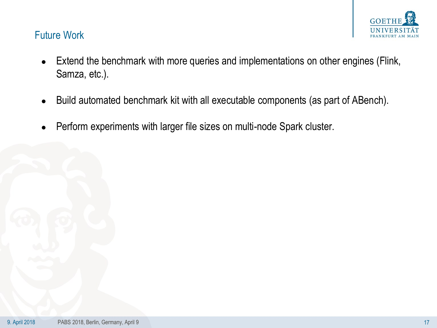

### Future Work

- Extend the benchmark with more queries and implementations on other engines (Flink, Samza, etc.).
- Build automated benchmark kit with all executable components (as part of ABench).
- Perform experiments with larger file sizes on multi-node Spark cluster.

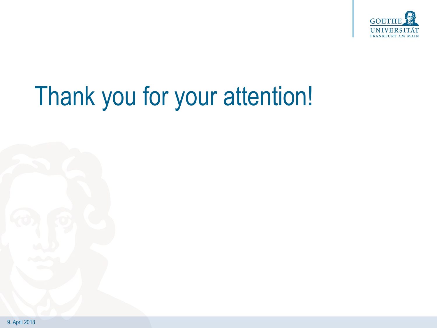

## Thank you for your attention!

9. April 2018